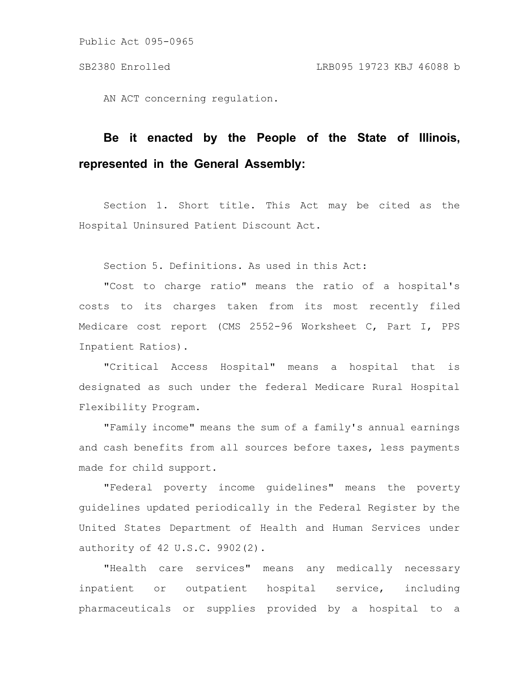AN ACT concerning regulation.

# **Be it enacted by the People of the State of Illinois, represented in the General Assembly:**

Section 1. Short title. This Act may be cited as the Hospital Uninsured Patient Discount Act.

Section 5. Definitions. As used in this Act:

"Cost to charge ratio" means the ratio of a hospital's costs to its charges taken from its most recently filed Medicare cost report (CMS 2552-96 Worksheet C, Part I, PPS Inpatient Ratios).

"Critical Access Hospital" means a hospital that is designated as such under the federal Medicare Rural Hospital Flexibility Program.

"Family income" means the sum of a family's annual earnings and cash benefits from all sources before taxes, less payments made for child support.

"Federal poverty income guidelines" means the poverty guidelines updated periodically in the Federal Register by the United States Department of Health and Human Services under authority of 42 U.S.C. 9902(2).

"Health care services" means any medically necessary inpatient or outpatient hospital service, including pharmaceuticals or supplies provided by a hospital to a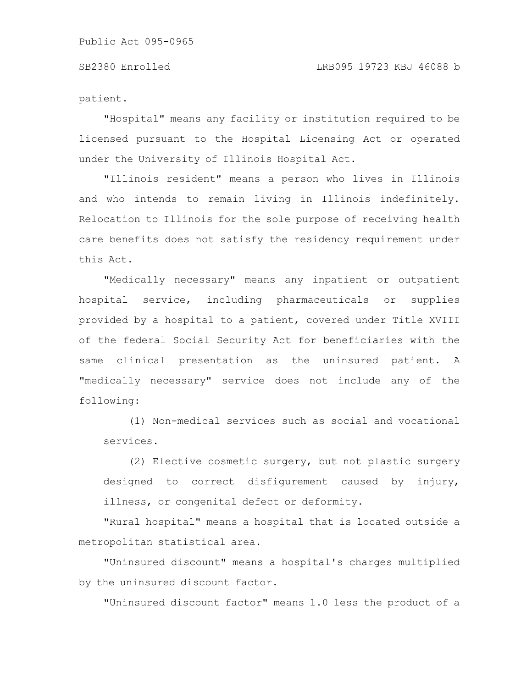patient.

"Hospital" means any facility or institution required to be licensed pursuant to the Hospital Licensing Act or operated under the University of Illinois Hospital Act.

"Illinois resident" means a person who lives in Illinois and who intends to remain living in Illinois indefinitely. Relocation to Illinois for the sole purpose of receiving health care benefits does not satisfy the residency requirement under this Act.

"Medically necessary" means any inpatient or outpatient hospital service, including pharmaceuticals or supplies provided by a hospital to a patient, covered under Title XVIII of the federal Social Security Act for beneficiaries with the same clinical presentation as the uninsured patient. A "medically necessary" service does not include any of the following:

(1) Non-medical services such as social and vocational services.

(2) Elective cosmetic surgery, but not plastic surgery designed to correct disfigurement caused by injury, illness, or congenital defect or deformity.

"Rural hospital" means a hospital that is located outside a metropolitan statistical area.

"Uninsured discount" means a hospital's charges multiplied by the uninsured discount factor.

"Uninsured discount factor" means 1.0 less the product of a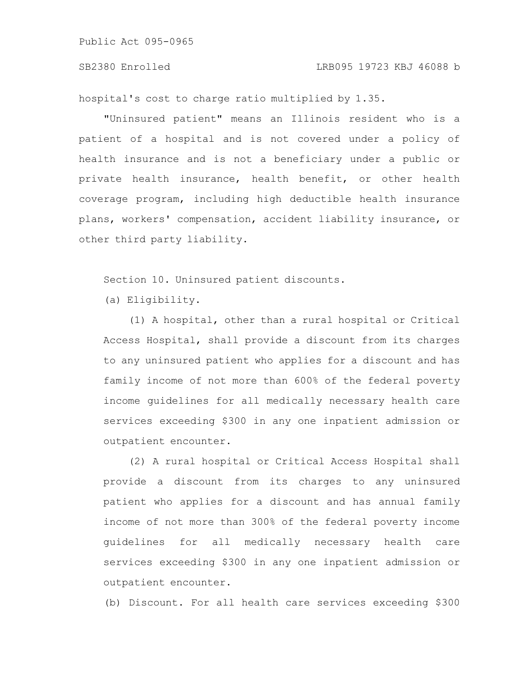hospital's cost to charge ratio multiplied by 1.35.

"Uninsured patient" means an Illinois resident who is a patient of a hospital and is not covered under a policy of health insurance and is not a beneficiary under a public or private health insurance, health benefit, or other health coverage program, including high deductible health insurance plans, workers' compensation, accident liability insurance, or other third party liability.

Section 10. Uninsured patient discounts.

(a) Eligibility.

(1) A hospital, other than a rural hospital or Critical Access Hospital, shall provide a discount from its charges to any uninsured patient who applies for a discount and has family income of not more than 600% of the federal poverty income guidelines for all medically necessary health care services exceeding \$300 in any one inpatient admission or outpatient encounter.

(2) A rural hospital or Critical Access Hospital shall provide a discount from its charges to any uninsured patient who applies for a discount and has annual family income of not more than 300% of the federal poverty income guidelines for all medically necessary health care services exceeding \$300 in any one inpatient admission or outpatient encounter.

(b) Discount. For all health care services exceeding \$300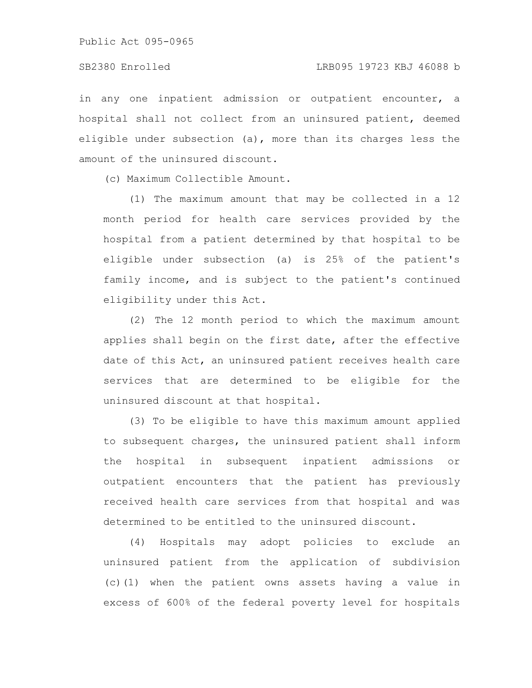in any one inpatient admission or outpatient encounter, a hospital shall not collect from an uninsured patient, deemed eligible under subsection (a), more than its charges less the amount of the uninsured discount.

(c) Maximum Collectible Amount.

(1) The maximum amount that may be collected in a 12 month period for health care services provided by the hospital from a patient determined by that hospital to be eligible under subsection (a) is 25% of the patient's family income, and is subject to the patient's continued eligibility under this Act.

(2) The 12 month period to which the maximum amount applies shall begin on the first date, after the effective date of this Act, an uninsured patient receives health care services that are determined to be eligible for the uninsured discount at that hospital.

(3) To be eligible to have this maximum amount applied to subsequent charges, the uninsured patient shall inform the hospital in subsequent inpatient admissions or outpatient encounters that the patient has previously received health care services from that hospital and was determined to be entitled to the uninsured discount.

(4) Hospitals may adopt policies to exclude an uninsured patient from the application of subdivision (c)(1) when the patient owns assets having a value in excess of 600% of the federal poverty level for hospitals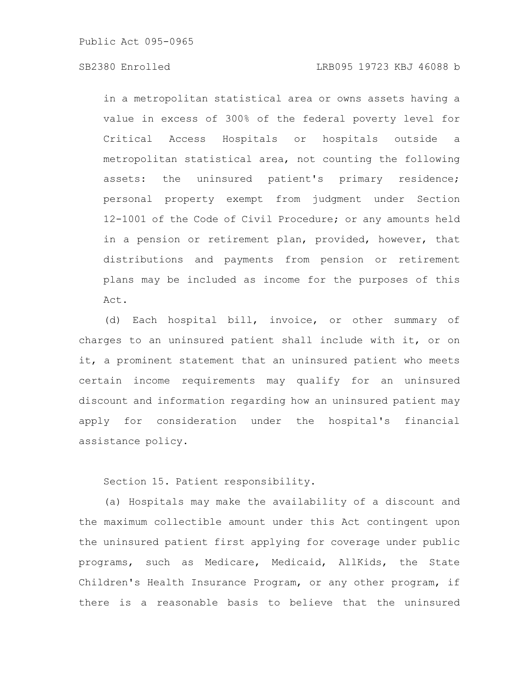# SB2380 Enrolled LRB095 19723 KBJ 46088 b

in a metropolitan statistical area or owns assets having a value in excess of 300% of the federal poverty level for Critical Access Hospitals or hospitals outside a metropolitan statistical area, not counting the following assets: the uninsured patient's primary residence; personal property exempt from judgment under Section 12-1001 of the Code of Civil Procedure; or any amounts held in a pension or retirement plan, provided, however, that distributions and payments from pension or retirement plans may be included as income for the purposes of this Act.

(d) Each hospital bill, invoice, or other summary of charges to an uninsured patient shall include with it, or on it, a prominent statement that an uninsured patient who meets certain income requirements may qualify for an uninsured discount and information regarding how an uninsured patient may apply for consideration under the hospital's financial assistance policy.

Section 15. Patient responsibility.

(a) Hospitals may make the availability of a discount and the maximum collectible amount under this Act contingent upon the uninsured patient first applying for coverage under public programs, such as Medicare, Medicaid, AllKids, the State Children's Health Insurance Program, or any other program, if there is a reasonable basis to believe that the uninsured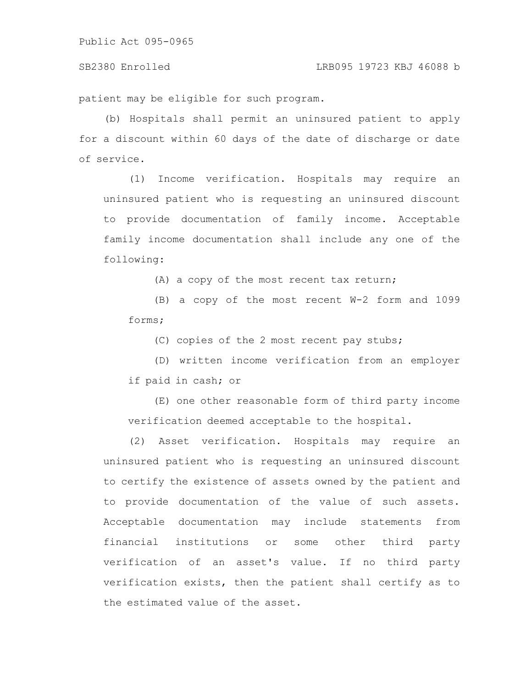patient may be eligible for such program.

(b) Hospitals shall permit an uninsured patient to apply for a discount within 60 days of the date of discharge or date of service.

(1) Income verification. Hospitals may require an uninsured patient who is requesting an uninsured discount to provide documentation of family income. Acceptable family income documentation shall include any one of the following:

(A) a copy of the most recent tax return;

(B) a copy of the most recent W-2 form and 1099 forms;

(C) copies of the 2 most recent pay stubs;

(D) written income verification from an employer if paid in cash; or

(E) one other reasonable form of third party income verification deemed acceptable to the hospital.

(2) Asset verification. Hospitals may require an uninsured patient who is requesting an uninsured discount to certify the existence of assets owned by the patient and to provide documentation of the value of such assets. Acceptable documentation may include statements from financial institutions or some other third party verification of an asset's value. If no third party verification exists, then the patient shall certify as to the estimated value of the asset.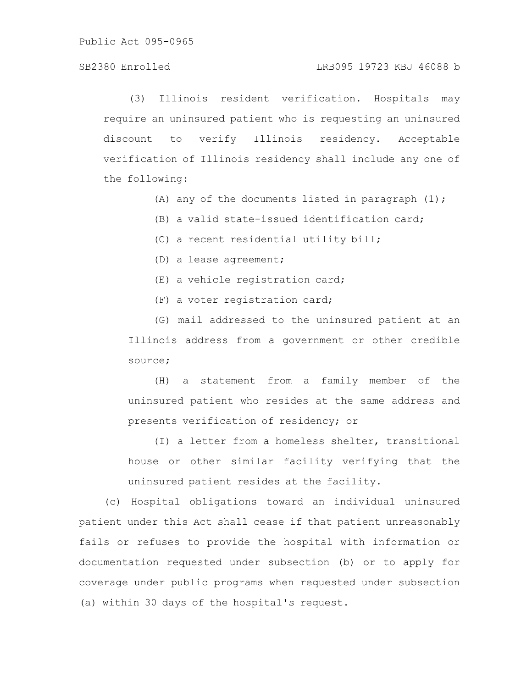# SB2380 Enrolled LRB095 19723 KBJ 46088 b

(3) Illinois resident verification. Hospitals may require an uninsured patient who is requesting an uninsured discount to verify Illinois residency. Acceptable verification of Illinois residency shall include any one of the following:

- (A) any of the documents listed in paragraph  $(1)$ ;
- (B) a valid state-issued identification card;
- (C) a recent residential utility bill;
- (D) a lease agreement;
- (E) a vehicle registration card;
- (F) a voter registration card;

(G) mail addressed to the uninsured patient at an Illinois address from a government or other credible source;

(H) a statement from a family member of the uninsured patient who resides at the same address and presents verification of residency; or

(I) a letter from a homeless shelter, transitional house or other similar facility verifying that the uninsured patient resides at the facility.

(c) Hospital obligations toward an individual uninsured patient under this Act shall cease if that patient unreasonably fails or refuses to provide the hospital with information or documentation requested under subsection (b) or to apply for coverage under public programs when requested under subsection (a) within 30 days of the hospital's request.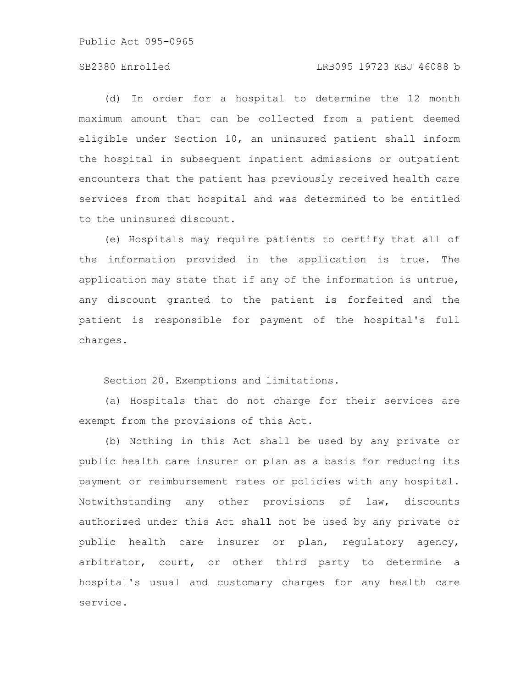# SB2380 Enrolled LRB095 19723 KBJ 46088 b

(d) In order for a hospital to determine the 12 month maximum amount that can be collected from a patient deemed eligible under Section 10, an uninsured patient shall inform the hospital in subsequent inpatient admissions or outpatient encounters that the patient has previously received health care services from that hospital and was determined to be entitled to the uninsured discount.

(e) Hospitals may require patients to certify that all of the information provided in the application is true. The application may state that if any of the information is untrue, any discount granted to the patient is forfeited and the patient is responsible for payment of the hospital's full charges.

Section 20. Exemptions and limitations.

(a) Hospitals that do not charge for their services are exempt from the provisions of this Act.

(b) Nothing in this Act shall be used by any private or public health care insurer or plan as a basis for reducing its payment or reimbursement rates or policies with any hospital. Notwithstanding any other provisions of law, discounts authorized under this Act shall not be used by any private or public health care insurer or plan, regulatory agency, arbitrator, court, or other third party to determine a hospital's usual and customary charges for any health care service.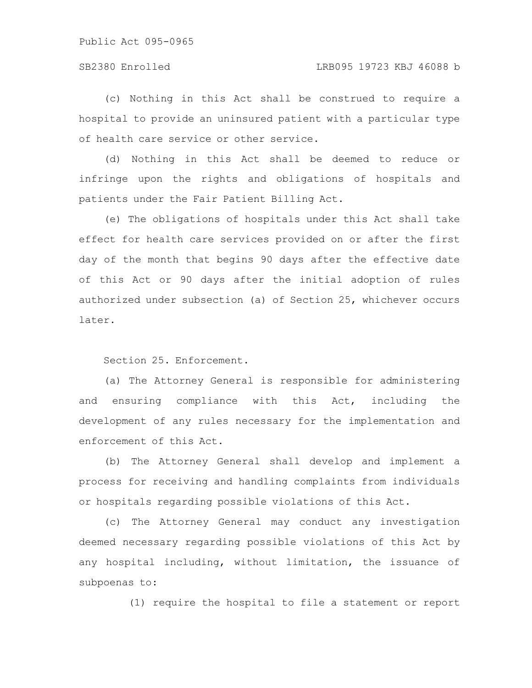(c) Nothing in this Act shall be construed to require a hospital to provide an uninsured patient with a particular type of health care service or other service.

(d) Nothing in this Act shall be deemed to reduce or infringe upon the rights and obligations of hospitals and patients under the Fair Patient Billing Act.

(e) The obligations of hospitals under this Act shall take effect for health care services provided on or after the first day of the month that begins 90 days after the effective date of this Act or 90 days after the initial adoption of rules authorized under subsection (a) of Section 25, whichever occurs later.

Section 25. Enforcement.

(a) The Attorney General is responsible for administering and ensuring compliance with this Act, including the development of any rules necessary for the implementation and enforcement of this Act.

(b) The Attorney General shall develop and implement a process for receiving and handling complaints from individuals or hospitals regarding possible violations of this Act.

(c) The Attorney General may conduct any investigation deemed necessary regarding possible violations of this Act by any hospital including, without limitation, the issuance of subpoenas to:

(1) require the hospital to file a statement or report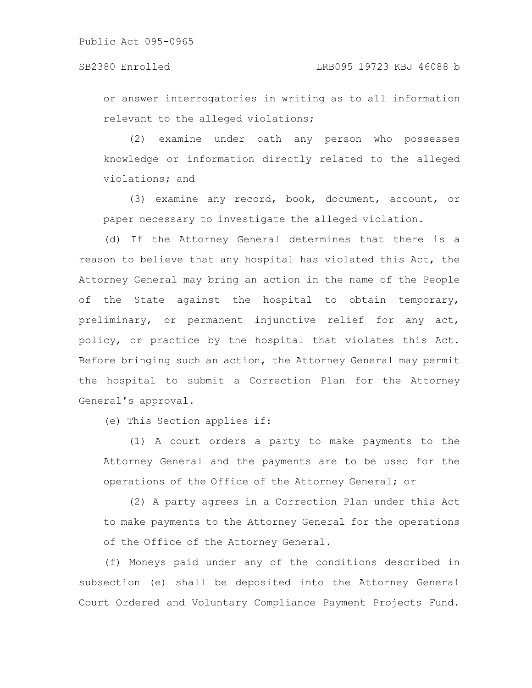or answer interrogatories in writing as to all information relevant to the alleged violations;

(2) examine under oath any person who possesses knowledge or information directly related to the alleged violations; and

(3) examine any record, book, document, account, or paper necessary to investigate the alleged violation.

(d) If the Attorney General determines that there is a reason to believe that any hospital has violated this Act, the Attorney General may bring an action in the name of the People of the State against the hospital to obtain temporary, preliminary, or permanent injunctive relief for any act, policy, or practice by the hospital that violates this Act. Before bringing such an action, the Attorney General may permit the hospital to submit a Correction Plan for the Attorney General's approval.

(e) This Section applies if:

(1) A court orders a party to make payments to the Attorney General and the payments are to be used for the operations of the Office of the Attorney General; or

(2) A party agrees in a Correction Plan under this Act to make payments to the Attorney General for the operations of the Office of the Attorney General.

(f) Moneys paid under any of the conditions described in subsection (e) shall be deposited into the Attorney General Court Ordered and Voluntary Compliance Payment Projects Fund.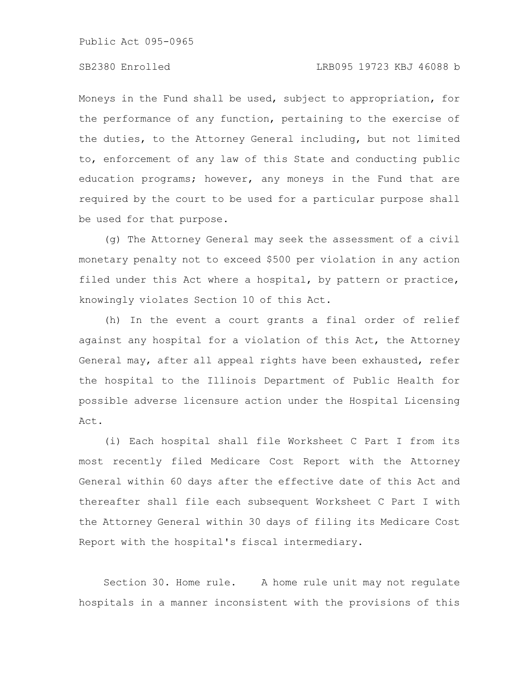Moneys in the Fund shall be used, subject to appropriation, for the performance of any function, pertaining to the exercise of the duties, to the Attorney General including, but not limited to, enforcement of any law of this State and conducting public education programs; however, any moneys in the Fund that are required by the court to be used for a particular purpose shall be used for that purpose.

(g) The Attorney General may seek the assessment of a civil monetary penalty not to exceed \$500 per violation in any action filed under this Act where a hospital, by pattern or practice, knowingly violates Section 10 of this Act.

(h) In the event a court grants a final order of relief against any hospital for a violation of this Act, the Attorney General may, after all appeal rights have been exhausted, refer the hospital to the Illinois Department of Public Health for possible adverse licensure action under the Hospital Licensing Act.

(i) Each hospital shall file Worksheet C Part I from its most recently filed Medicare Cost Report with the Attorney General within 60 days after the effective date of this Act and thereafter shall file each subsequent Worksheet C Part I with the Attorney General within 30 days of filing its Medicare Cost Report with the hospital's fiscal intermediary.

Section 30. Home rule. A home rule unit may not regulate hospitals in a manner inconsistent with the provisions of this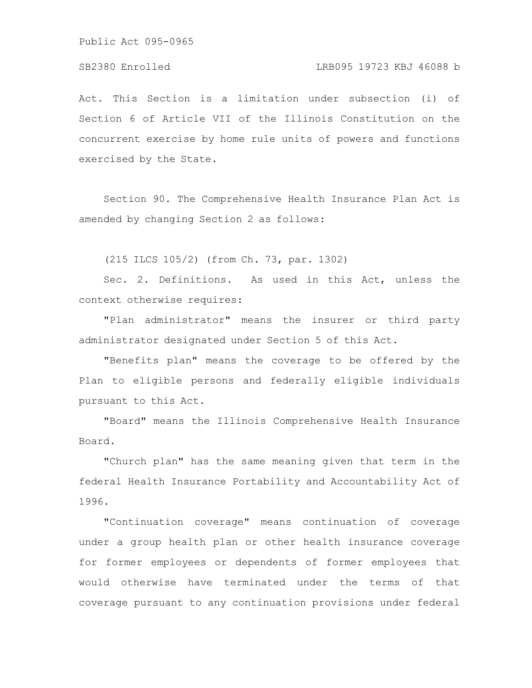# SB2380 Enrolled LRB095 19723 KBJ 46088 b

Act. This Section is a limitation under subsection (i) of Section 6 of Article VII of the Illinois Constitution on the concurrent exercise by home rule units of powers and functions exercised by the State.

Section 90. The Comprehensive Health Insurance Plan Act is amended by changing Section 2 as follows:

(215 ILCS 105/2) (from Ch. 73, par. 1302)

Sec. 2. Definitions. As used in this Act, unless the context otherwise requires:

"Plan administrator" means the insurer or third party administrator designated under Section 5 of this Act.

"Benefits plan" means the coverage to be offered by the Plan to eligible persons and federally eligible individuals pursuant to this Act.

"Board" means the Illinois Comprehensive Health Insurance Board.

"Church plan" has the same meaning given that term in the federal Health Insurance Portability and Accountability Act of 1996.

"Continuation coverage" means continuation of coverage under a group health plan or other health insurance coverage for former employees or dependents of former employees that would otherwise have terminated under the terms of that coverage pursuant to any continuation provisions under federal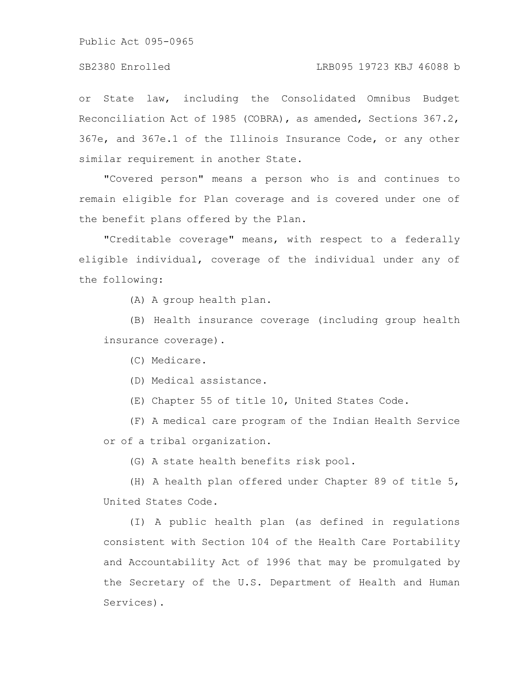or State law, including the Consolidated Omnibus Budget Reconciliation Act of 1985 (COBRA), as amended, Sections 367.2, 367e, and 367e.1 of the Illinois Insurance Code, or any other similar requirement in another State.

"Covered person" means a person who is and continues to remain eligible for Plan coverage and is covered under one of the benefit plans offered by the Plan.

"Creditable coverage" means, with respect to a federally eligible individual, coverage of the individual under any of the following:

(A) A group health plan.

(B) Health insurance coverage (including group health insurance coverage).

(C) Medicare.

(D) Medical assistance.

(E) Chapter 55 of title 10, United States Code.

(F) A medical care program of the Indian Health Service or of a tribal organization.

(G) A state health benefits risk pool.

(H) A health plan offered under Chapter 89 of title 5, United States Code.

(I) A public health plan (as defined in regulations consistent with Section 104 of the Health Care Portability and Accountability Act of 1996 that may be promulgated by the Secretary of the U.S. Department of Health and Human Services).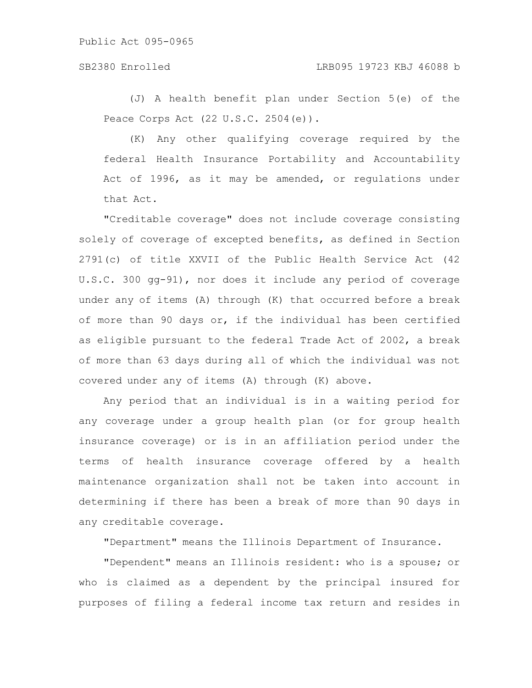# SB2380 Enrolled LRB095 19723 KBJ 46088 b

(J) A health benefit plan under Section 5(e) of the Peace Corps Act (22 U.S.C. 2504(e)).

(K) Any other qualifying coverage required by the federal Health Insurance Portability and Accountability Act of 1996, as it may be amended, or regulations under that Act.

"Creditable coverage" does not include coverage consisting solely of coverage of excepted benefits, as defined in Section 2791(c) of title XXVII of the Public Health Service Act (42 U.S.C. 300 gg-91), nor does it include any period of coverage under any of items (A) through (K) that occurred before a break of more than 90 days or, if the individual has been certified as eligible pursuant to the federal Trade Act of 2002, a break of more than 63 days during all of which the individual was not covered under any of items (A) through (K) above.

Any period that an individual is in a waiting period for any coverage under a group health plan (or for group health insurance coverage) or is in an affiliation period under the terms of health insurance coverage offered by a health maintenance organization shall not be taken into account in determining if there has been a break of more than 90 days in any creditable coverage.

"Department" means the Illinois Department of Insurance.

"Dependent" means an Illinois resident: who is a spouse; or who is claimed as a dependent by the principal insured for purposes of filing a federal income tax return and resides in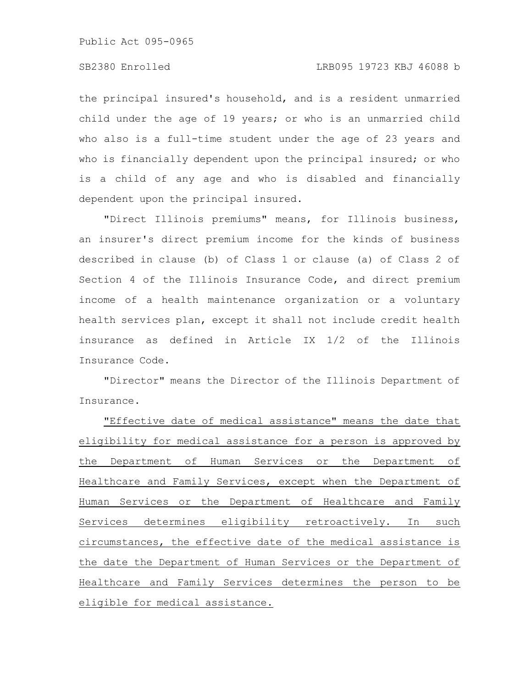the principal insured's household, and is a resident unmarried child under the age of 19 years; or who is an unmarried child who also is a full-time student under the age of 23 years and who is financially dependent upon the principal insured; or who is a child of any age and who is disabled and financially dependent upon the principal insured.

"Direct Illinois premiums" means, for Illinois business, an insurer's direct premium income for the kinds of business described in clause (b) of Class 1 or clause (a) of Class 2 of Section 4 of the Illinois Insurance Code, and direct premium income of a health maintenance organization or a voluntary health services plan, except it shall not include credit health insurance as defined in Article IX 1/2 of the Illinois Insurance Code.

"Director" means the Director of the Illinois Department of Insurance.

"Effective date of medical assistance" means the date that eligibility for medical assistance for a person is approved by the Department of Human Services or the Department of Healthcare and Family Services, except when the Department of Human Services or the Department of Healthcare and Family Services determines eligibility retroactively. In such circumstances, the effective date of the medical assistance is the date the Department of Human Services or the Department of Healthcare and Family Services determines the person to be eligible for medical assistance.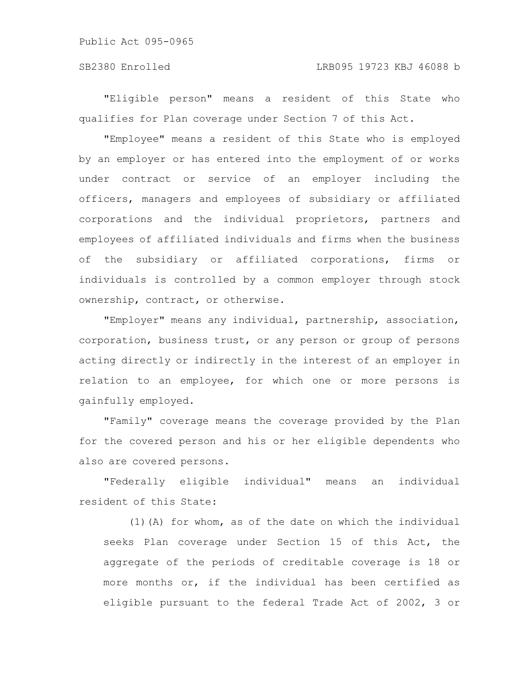# SB2380 Enrolled LRB095 19723 KBJ 46088 b

"Eligible person" means a resident of this State who qualifies for Plan coverage under Section 7 of this Act.

"Employee" means a resident of this State who is employed by an employer or has entered into the employment of or works under contract or service of an employer including the officers, managers and employees of subsidiary or affiliated corporations and the individual proprietors, partners and employees of affiliated individuals and firms when the business of the subsidiary or affiliated corporations, firms or individuals is controlled by a common employer through stock ownership, contract, or otherwise.

"Employer" means any individual, partnership, association, corporation, business trust, or any person or group of persons acting directly or indirectly in the interest of an employer in relation to an employee, for which one or more persons is gainfully employed.

"Family" coverage means the coverage provided by the Plan for the covered person and his or her eligible dependents who also are covered persons.

"Federally eligible individual" means an individual resident of this State:

(1)(A) for whom, as of the date on which the individual seeks Plan coverage under Section 15 of this Act, the aggregate of the periods of creditable coverage is 18 or more months or, if the individual has been certified as eligible pursuant to the federal Trade Act of 2002, 3 or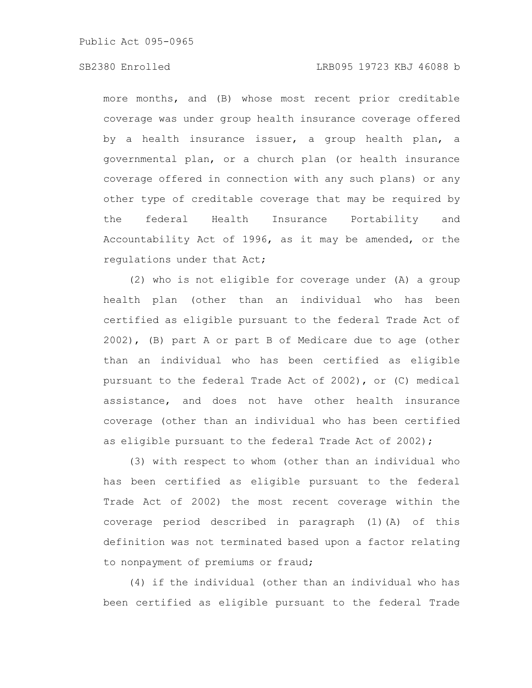# SB2380 Enrolled LRB095 19723 KBJ 46088 b

more months, and (B) whose most recent prior creditable coverage was under group health insurance coverage offered by a health insurance issuer, a group health plan, a governmental plan, or a church plan (or health insurance coverage offered in connection with any such plans) or any other type of creditable coverage that may be required by the federal Health Insurance Portability and Accountability Act of 1996, as it may be amended, or the regulations under that Act;

(2) who is not eligible for coverage under (A) a group health plan (other than an individual who has been certified as eligible pursuant to the federal Trade Act of 2002), (B) part A or part B of Medicare due to age (other than an individual who has been certified as eligible pursuant to the federal Trade Act of 2002), or (C) medical assistance, and does not have other health insurance coverage (other than an individual who has been certified as eligible pursuant to the federal Trade Act of 2002);

(3) with respect to whom (other than an individual who has been certified as eligible pursuant to the federal Trade Act of 2002) the most recent coverage within the coverage period described in paragraph (1)(A) of this definition was not terminated based upon a factor relating to nonpayment of premiums or fraud;

(4) if the individual (other than an individual who has been certified as eligible pursuant to the federal Trade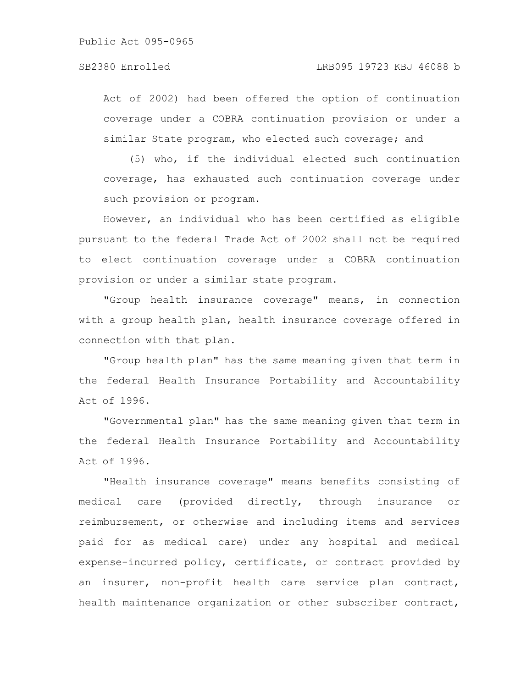Act of 2002) had been offered the option of continuation coverage under a COBRA continuation provision or under a similar State program, who elected such coverage; and

(5) who, if the individual elected such continuation coverage, has exhausted such continuation coverage under such provision or program.

However, an individual who has been certified as eligible pursuant to the federal Trade Act of 2002 shall not be required to elect continuation coverage under a COBRA continuation provision or under a similar state program.

"Group health insurance coverage" means, in connection with a group health plan, health insurance coverage offered in connection with that plan.

"Group health plan" has the same meaning given that term in the federal Health Insurance Portability and Accountability Act of 1996.

"Governmental plan" has the same meaning given that term in the federal Health Insurance Portability and Accountability Act of 1996.

"Health insurance coverage" means benefits consisting of medical care (provided directly, through insurance or reimbursement, or otherwise and including items and services paid for as medical care) under any hospital and medical expense-incurred policy, certificate, or contract provided by an insurer, non-profit health care service plan contract, health maintenance organization or other subscriber contract,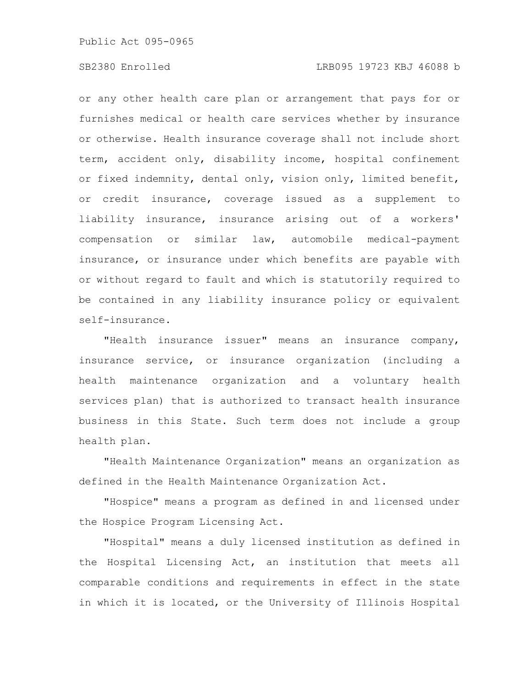# SB2380 Enrolled LRB095 19723 KBJ 46088 b

or any other health care plan or arrangement that pays for or furnishes medical or health care services whether by insurance or otherwise. Health insurance coverage shall not include short term, accident only, disability income, hospital confinement or fixed indemnity, dental only, vision only, limited benefit, or credit insurance, coverage issued as a supplement to liability insurance, insurance arising out of a workers' compensation or similar law, automobile medical-payment insurance, or insurance under which benefits are payable with or without regard to fault and which is statutorily required to be contained in any liability insurance policy or equivalent self-insurance.

"Health insurance issuer" means an insurance company, insurance service, or insurance organization (including a health maintenance organization and a voluntary health services plan) that is authorized to transact health insurance business in this State. Such term does not include a group health plan.

"Health Maintenance Organization" means an organization as defined in the Health Maintenance Organization Act.

"Hospice" means a program as defined in and licensed under the Hospice Program Licensing Act.

"Hospital" means a duly licensed institution as defined in the Hospital Licensing Act, an institution that meets all comparable conditions and requirements in effect in the state in which it is located, or the University of Illinois Hospital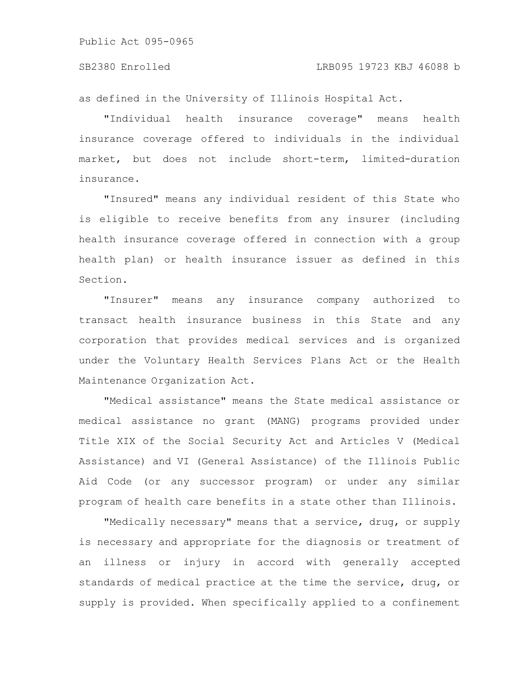as defined in the University of Illinois Hospital Act.

"Individual health insurance coverage" means health insurance coverage offered to individuals in the individual market, but does not include short-term, limited-duration insurance.

"Insured" means any individual resident of this State who is eligible to receive benefits from any insurer (including health insurance coverage offered in connection with a group health plan) or health insurance issuer as defined in this Section.

"Insurer" means any insurance company authorized to transact health insurance business in this State and any corporation that provides medical services and is organized under the Voluntary Health Services Plans Act or the Health Maintenance Organization Act.

"Medical assistance" means the State medical assistance or medical assistance no grant (MANG) programs provided under Title XIX of the Social Security Act and Articles V (Medical Assistance) and VI (General Assistance) of the Illinois Public Aid Code (or any successor program) or under any similar program of health care benefits in a state other than Illinois.

"Medically necessary" means that a service, drug, or supply is necessary and appropriate for the diagnosis or treatment of an illness or injury in accord with generally accepted standards of medical practice at the time the service, drug, or supply is provided. When specifically applied to a confinement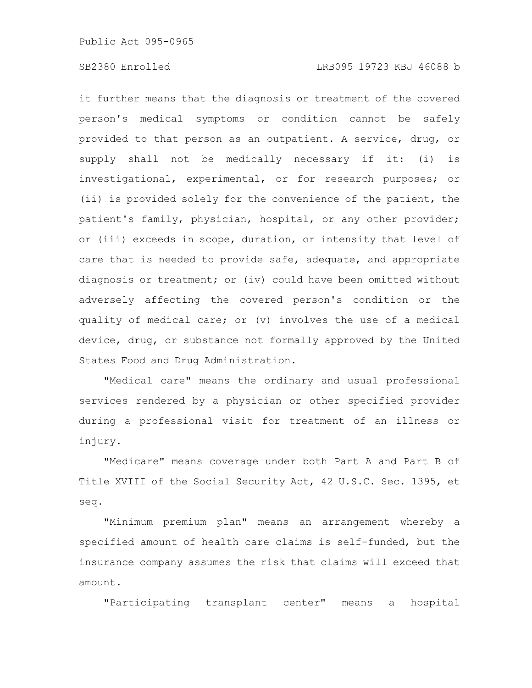# SB2380 Enrolled LRB095 19723 KBJ 46088 b

it further means that the diagnosis or treatment of the covered person's medical symptoms or condition cannot be safely provided to that person as an outpatient. A service, drug, or supply shall not be medically necessary if it: (i) is investigational, experimental, or for research purposes; or (ii) is provided solely for the convenience of the patient, the patient's family, physician, hospital, or any other provider; or (iii) exceeds in scope, duration, or intensity that level of care that is needed to provide safe, adequate, and appropriate diagnosis or treatment; or (iv) could have been omitted without adversely affecting the covered person's condition or the quality of medical care; or (v) involves the use of a medical device, drug, or substance not formally approved by the United States Food and Drug Administration.

"Medical care" means the ordinary and usual professional services rendered by a physician or other specified provider during a professional visit for treatment of an illness or injury.

"Medicare" means coverage under both Part A and Part B of Title XVIII of the Social Security Act, 42 U.S.C. Sec. 1395, et seq.

"Minimum premium plan" means an arrangement whereby a specified amount of health care claims is self-funded, but the insurance company assumes the risk that claims will exceed that amount.

"Participating transplant center" means a hospital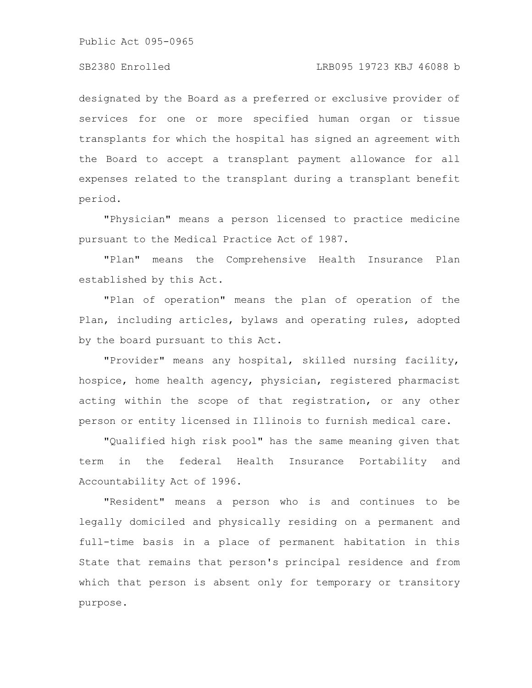# SB2380 Enrolled LRB095 19723 KBJ 46088 b

designated by the Board as a preferred or exclusive provider of services for one or more specified human organ or tissue transplants for which the hospital has signed an agreement with the Board to accept a transplant payment allowance for all expenses related to the transplant during a transplant benefit period.

"Physician" means a person licensed to practice medicine pursuant to the Medical Practice Act of 1987.

"Plan" means the Comprehensive Health Insurance Plan established by this Act.

"Plan of operation" means the plan of operation of the Plan, including articles, bylaws and operating rules, adopted by the board pursuant to this Act.

"Provider" means any hospital, skilled nursing facility, hospice, home health agency, physician, registered pharmacist acting within the scope of that registration, or any other person or entity licensed in Illinois to furnish medical care.

"Qualified high risk pool" has the same meaning given that term in the federal Health Insurance Portability and Accountability Act of 1996.

"Resident" means a person who is and continues to be legally domiciled and physically residing on a permanent and full-time basis in a place of permanent habitation in this State that remains that person's principal residence and from which that person is absent only for temporary or transitory purpose.